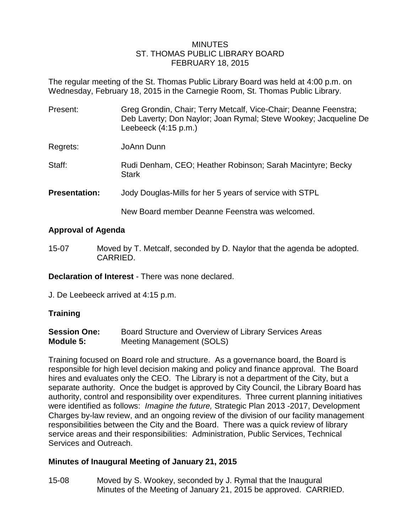#### **MINUTES** ST. THOMAS PUBLIC LIBRARY BOARD FEBRUARY 18, 2015

The regular meeting of the St. Thomas Public Library Board was held at 4:00 p.m. on Wednesday, February 18, 2015 in the Carnegie Room, St. Thomas Public Library.

| Present:             | Greg Grondin, Chair; Terry Metcalf, Vice-Chair; Deanne Feenstra;<br>Deb Laverty; Don Naylor; Joan Rymal; Steve Wookey; Jacqueline De<br>Leebeeck (4:15 p.m.) |
|----------------------|--------------------------------------------------------------------------------------------------------------------------------------------------------------|
| Regrets:             | JoAnn Dunn                                                                                                                                                   |
| Staff:               | Rudi Denham, CEO; Heather Robinson; Sarah Macintyre; Becky<br><b>Stark</b>                                                                                   |
| <b>Presentation:</b> | Jody Douglas-Mills for her 5 years of service with STPL                                                                                                      |
|                      | New Board member Deanne Feenstra was welcomed.                                                                                                               |

### **Approval of Agenda**

15-07 Moved by T. Metcalf, seconded by D. Naylor that the agenda be adopted. CARRIED.

**Declaration of Interest** - There was none declared.

J. De Leebeeck arrived at 4:15 p.m.

### **Training**

| <b>Session One:</b> | Board Structure and Overview of Library Services Areas |
|---------------------|--------------------------------------------------------|
| Module 5:           | Meeting Management (SOLS)                              |

Training focused on Board role and structure. As a governance board, the Board is responsible for high level decision making and policy and finance approval. The Board hires and evaluates only the CEO. The Library is not a department of the City, but a separate authority. Once the budget is approved by City Council, the Library Board has authority, control and responsibility over expenditures. Three current planning initiatives were identified as follows: *Imagine the future,* Strategic Plan 2013 -2017, Development Charges by-law review, and an ongoing review of the division of our facility management responsibilities between the City and the Board. There was a quick review of library service areas and their responsibilities: Administration, Public Services, Technical Services and Outreach.

### **Minutes of Inaugural Meeting of January 21, 2015**

15-08 Moved by S. Wookey, seconded by J. Rymal that the Inaugural Minutes of the Meeting of January 21, 2015 be approved. CARRIED.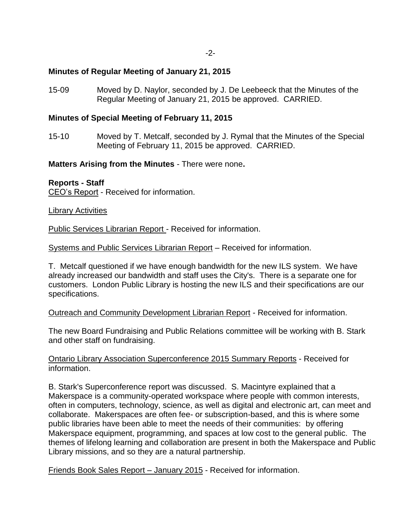#### **Minutes of Regular Meeting of January 21, 2015**

15-09 Moved by D. Naylor, seconded by J. De Leebeeck that the Minutes of the Regular Meeting of January 21, 2015 be approved. CARRIED.

#### **Minutes of Special Meeting of February 11, 2015**

15-10 Moved by T. Metcalf, seconded by J. Rymal that the Minutes of the Special Meeting of February 11, 2015 be approved. CARRIED.

**Matters Arising from the Minutes** - There were none**.**

#### **Reports - Staff**

CEO's Report - Received for information.

#### **Library Activities**

Public Services Librarian Report - Received for information.

Systems and Public Services Librarian Report – Received for information.

T. Metcalf questioned if we have enough bandwidth for the new ILS system. We have already increased our bandwidth and staff uses the City's. There is a separate one for customers. London Public Library is hosting the new ILS and their specifications are our specifications.

#### Outreach and Community Development Librarian Report - Received for information.

The new Board Fundraising and Public Relations committee will be working with B. Stark and other staff on fundraising.

Ontario Library Association Superconference 2015 Summary Reports - Received for information.

B. Stark's Superconference report was discussed. S. Macintyre explained that a Makerspace is a community-operated workspace where people with common interests, often in computers, technology, science, as well as digital and electronic art, can meet and collaborate. Makerspaces are often fee- or subscription-based, and this is where some public libraries have been able to meet the needs of their communities: by offering Makerspace equipment, programming, and spaces at low cost to the general public. The themes of lifelong learning and collaboration are present in both the Makerspace and Public Library missions, and so they are a natural partnership.

Friends Book Sales Report – January 2015 - Received for information.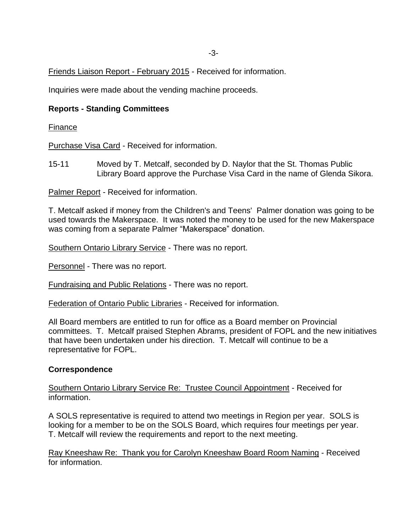Friends Liaison Report - February 2015 - Received for information.

Inquiries were made about the vending machine proceeds.

## **Reports - Standing Committees**

### Finance

Purchase Visa Card - Received for information.

15-11 Moved by T. Metcalf, seconded by D. Naylor that the St. Thomas Public Library Board approve the Purchase Visa Card in the name of Glenda Sikora.

Palmer Report - Received for information.

T. Metcalf asked if money from the Children's and Teens' Palmer donation was going to be used towards the Makerspace. It was noted the money to be used for the new Makerspace was coming from a separate Palmer "Makerspace" donation.

Southern Ontario Library Service - There was no report.

Personnel - There was no report.

Fundraising and Public Relations - There was no report.

Federation of Ontario Public Libraries - Received for information.

All Board members are entitled to run for office as a Board member on Provincial committees. T. Metcalf praised Stephen Abrams, president of FOPL and the new initiatives that have been undertaken under his direction. T. Metcalf will continue to be a representative for FOPL.

### **Correspondence**

Southern Ontario Library Service Re: Trustee Council Appointment - Received for information.

A SOLS representative is required to attend two meetings in Region per year. SOLS is looking for a member to be on the SOLS Board, which requires four meetings per year. T. Metcalf will review the requirements and report to the next meeting.

Ray Kneeshaw Re: Thank you for Carolyn Kneeshaw Board Room Naming - Received for information.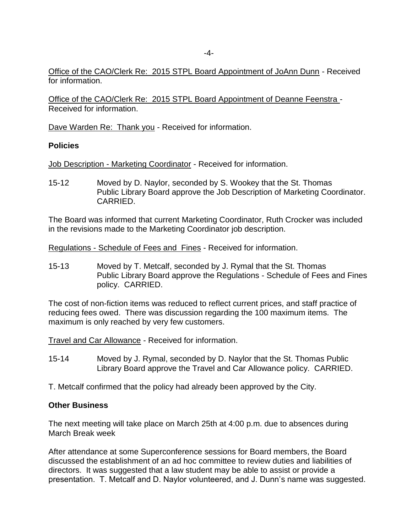Office of the CAO/Clerk Re: 2015 STPL Board Appointment of JoAnn Dunn - Received for information.

Office of the CAO/Clerk Re: 2015 STPL Board Appointment of Deanne Feenstra - Received for information.

Dave Warden Re: Thank you - Received for information.

# **Policies**

Job Description - Marketing Coordinator - Received for information.

15-12 Moved by D. Naylor, seconded by S. Wookey that the St. Thomas Public Library Board approve the Job Description of Marketing Coordinator. CARRIED.

The Board was informed that current Marketing Coordinator, Ruth Crocker was included in the revisions made to the Marketing Coordinator job description.

Regulations - Schedule of Fees and Fines - Received for information.

15-13 Moved by T. Metcalf, seconded by J. Rymal that the St. Thomas Public Library Board approve the Regulations - Schedule of Fees and Fines policy. CARRIED.

The cost of non-fiction items was reduced to reflect current prices, and staff practice of reducing fees owed. There was discussion regarding the 100 maximum items. The maximum is only reached by very few customers.

Travel and Car Allowance - Received for information.

- 15-14 Moved by J. Rymal, seconded by D. Naylor that the St. Thomas Public Library Board approve the Travel and Car Allowance policy. CARRIED.
- T. Metcalf confirmed that the policy had already been approved by the City.

### **Other Business**

The next meeting will take place on March 25th at 4:00 p.m. due to absences during March Break week

After attendance at some Superconference sessions for Board members, the Board discussed the establishment of an ad hoc committee to review duties and liabilities of directors. It was suggested that a law student may be able to assist or provide a presentation. T. Metcalf and D. Naylor volunteered, and J. Dunn's name was suggested.